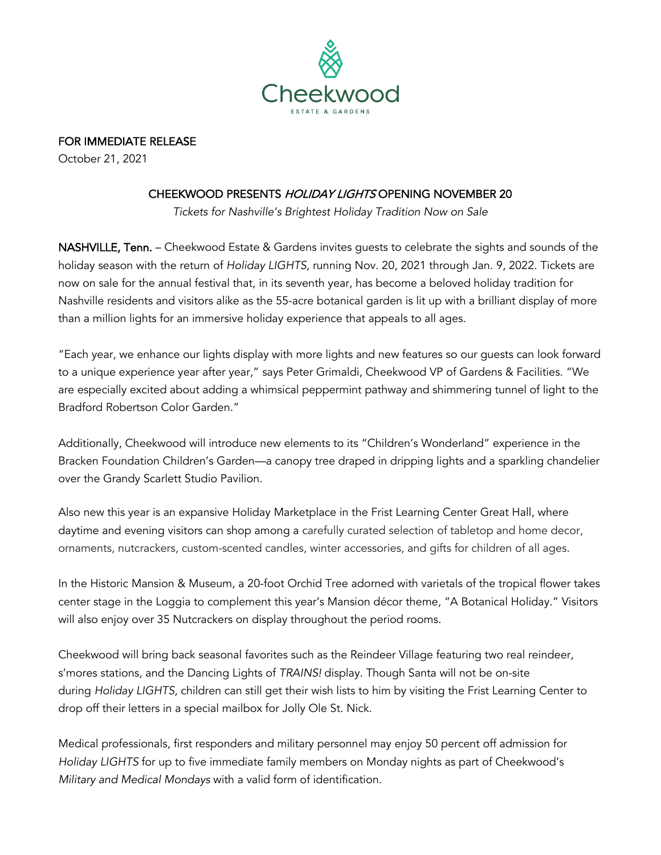

FOR IMMEDIATE RELEASE

October 21, 2021

## CHEEKWOOD PRESENTS HOLIDAY LIGHTS OPENING NOVEMBER 20

*Tickets for Nashville's Brightest Holiday Tradition Now on Sale*

NASHVILLE, Tenn. – Cheekwood Estate & Gardens invites guests to celebrate the sights and sounds of the holiday season with the return of *Holiday LIGHTS,* running Nov. 20, 2021 through Jan. 9, 2022. Tickets are now on sale for the annual festival that, in its seventh year, has become a beloved holiday tradition for Nashville residents and visitors alike as the 55-acre botanical garden is lit up with a brilliant display of more than a million lights for an immersive holiday experience that appeals to all ages.

"Each year, we enhance our lights display with more lights and new features so our guests can look forward to a unique experience year after year," says Peter Grimaldi, Cheekwood VP of Gardens & Facilities. "We are especially excited about adding a whimsical peppermint pathway and shimmering tunnel of light to the Bradford Robertson Color Garden."

Additionally, Cheekwood will introduce new elements to its "Children's Wonderland" experience in the Bracken Foundation Children's Garden—a canopy tree draped in dripping lights and a sparkling chandelier over the Grandy Scarlett Studio Pavilion.

Also new this year is an expansive Holiday Marketplace in the Frist Learning Center Great Hall, where daytime and evening visitors can shop among a carefully curated selection of tabletop and home decor, ornaments, nutcrackers, custom-scented candles, winter accessories, and gifts for children of all ages.

In the Historic Mansion & Museum, a 20-foot Orchid Tree adorned with varietals of the tropical flower takes center stage in the Loggia to complement this year's Mansion décor theme, "A Botanical Holiday." Visitors will also enjoy over 35 Nutcrackers on display throughout the period rooms.

Cheekwood will bring back seasonal favorites such as the Reindeer Village featuring two real reindeer, s'mores stations, and the Dancing Lights of *TRAINS!* display. Though Santa will not be on-site during *Holiday LIGHTS*, children can still get their wish lists to him by visiting the Frist Learning Center to drop off their letters in a special mailbox for Jolly Ole St. Nick.

Medical professionals, first responders and military personnel may enjoy 50 percent off admission for *Holiday LIGHTS* for up to five immediate family members on Monday nights as part of Cheekwood's *Military and Medical Mondays* with a valid form of identification.